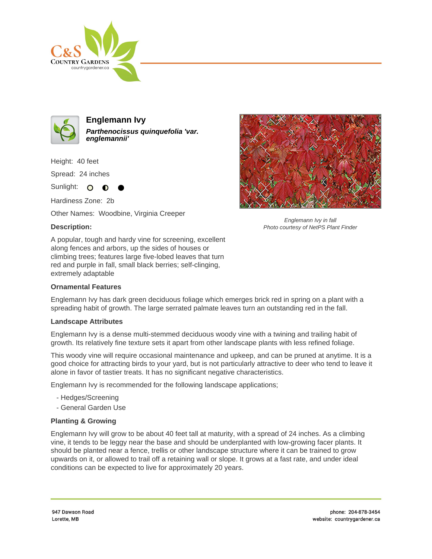



**Englemann Ivy Parthenocissus quinquefolia 'var. englemannii'**

Height: 40 feet Spread: 24 inches

Sunlight: O ∩

Hardiness Zone: 2b

Other Names: Woodbine, Virginia Creeper

## **Description:**



Englemann Ivy in fall Photo courtesy of NetPS Plant Finder

A popular, tough and hardy vine for screening, excellent along fences and arbors, up the sides of houses or climbing trees; features large five-lobed leaves that turn red and purple in fall, small black berries; self-clinging, extremely adaptable

## **Ornamental Features**

Englemann Ivy has dark green deciduous foliage which emerges brick red in spring on a plant with a spreading habit of growth. The large serrated palmate leaves turn an outstanding red in the fall.

## **Landscape Attributes**

Englemann Ivy is a dense multi-stemmed deciduous woody vine with a twining and trailing habit of growth. Its relatively fine texture sets it apart from other landscape plants with less refined foliage.

This woody vine will require occasional maintenance and upkeep, and can be pruned at anytime. It is a good choice for attracting birds to your yard, but is not particularly attractive to deer who tend to leave it alone in favor of tastier treats. It has no significant negative characteristics.

Englemann Ivy is recommended for the following landscape applications;

- Hedges/Screening
- General Garden Use

## **Planting & Growing**

Englemann Ivy will grow to be about 40 feet tall at maturity, with a spread of 24 inches. As a climbing vine, it tends to be leggy near the base and should be underplanted with low-growing facer plants. It should be planted near a fence, trellis or other landscape structure where it can be trained to grow upwards on it, or allowed to trail off a retaining wall or slope. It grows at a fast rate, and under ideal conditions can be expected to live for approximately 20 years.